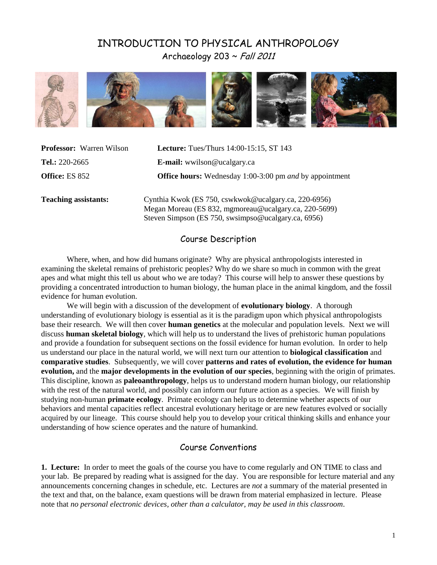# INTRODUCTION TO PHYSICAL ANTHROPOLOGY Archaeology 203 ~ Fall 2011



| <b>Professor:</b> Warren Wilson | <b>Lecture:</b> Tues/Thurs 14:00-15:15, ST 143                                                                |  |  |
|---------------------------------|---------------------------------------------------------------------------------------------------------------|--|--|
| Tel.: 220-2665                  | <b>E-mail:</b> wwilson@ucalgary.ca                                                                            |  |  |
| <b>Office:</b> ES 852           | <b>Office hours:</b> Wednesday 1:00-3:00 pm <i>and</i> by appointment                                         |  |  |
| <b>Teaching assistants:</b>     | Cynthia Kwok (ES 750, cswkwok@ucalgary.ca, 220-6956)<br>Megan Moreau (ES 832, mgmoreau@ucalgary.ca, 220-5699) |  |  |
|                                 | Steven Simpson (ES 750, swsimpso@ucalgary.ca, 6956)                                                           |  |  |

### Course Description

Where, when, and how did humans originate? Why are physical anthropologists interested in examining the skeletal remains of prehistoric peoples? Why do we share so much in common with the great apes and what might this tell us about who we are today? This course will help to answer these questions by providing a concentrated introduction to human biology, the human place in the animal kingdom, and the fossil evidence for human evolution.

We will begin with a discussion of the development of **evolutionary biology**. A thorough understanding of evolutionary biology is essential as it is the paradigm upon which physical anthropologists base their research. We will then cover **human genetics** at the molecular and population levels. Next we will discuss **human skeletal biology**, which will help us to understand the lives of prehistoric human populations and provide a foundation for subsequent sections on the fossil evidence for human evolution. In order to help us understand our place in the natural world, we will next turn our attention to **biological classification** and **comparative studies**. Subsequently, we will cover **patterns and rates of evolution, the evidence for human evolution,** and the **major developments in the evolution of our species**, beginning with the origin of primates. This discipline, known as **paleoanthropology**, helps us to understand modern human biology, our relationship with the rest of the natural world, and possibly can inform our future action as a species. We will finish by studying non-human **primate ecology**. Primate ecology can help us to determine whether aspects of our behaviors and mental capacities reflect ancestral evolutionary heritage or are new features evolved or socially acquired by our lineage. This course should help you to develop your critical thinking skills and enhance your understanding of how science operates and the nature of humankind.

## Course Conventions

**1. Lecture:**In order to meet the goals of the course you have to come regularly and ON TIME to class and your lab. Be prepared by reading what is assigned for the day. You are responsible for lecture material and any announcements concerning changes in schedule, etc. Lectures are *not* a summary of the material presented in the text and that, on the balance, exam questions will be drawn from material emphasized in lecture. Please note that *no personal electronic devices, other than a calculator, may be used in this classroom*.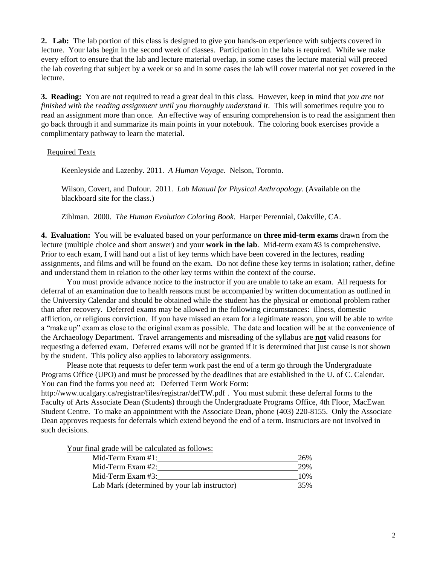**2. Lab:** The lab portion of this class is designed to give you hands-on experience with subjects covered in lecture. Your labs begin in the second week of classes. Participation in the labs is required. While we make every effort to ensure that the lab and lecture material overlap, in some cases the lecture material will preceed the lab covering that subject by a week or so and in some cases the lab will cover material not yet covered in the lecture.

**3. Reading:** You are not required to read a great deal in this class. However, keep in mind that *you are not finished with the reading assignment until you thoroughly understand it*. This will sometimes require you to read an assignment more than once. An effective way of ensuring comprehension is to read the assignment then go back through it and summarize its main points in your notebook. The coloring book exercises provide a complimentary pathway to learn the material.

#### Required Texts

Keenleyside and Lazenby. 2011. *A Human Voyage*. Nelson, Toronto.

Wilson, Covert, and Dufour. 2011. *Lab Manual for Physical Anthropology*. (Available on the blackboard site for the class.)

Zihlman. 2000. *The Human Evolution Coloring Book*. Harper Perennial, Oakville, CA.

**4. Evaluation:** You will be evaluated based on your performance on **three mid-term exams** drawn from the lecture (multiple choice and short answer) and your **work in the lab**. Mid-term exam #3 is comprehensive. Prior to each exam, I will hand out a list of key terms which have been covered in the lectures, reading assignments, and films and will be found on the exam. Do not define these key terms in isolation; rather, define and understand them in relation to the other key terms within the context of the course.

You must provide advance notice to the instructor if you are unable to take an exam. All requests for deferral of an examination due to health reasons must be accompanied by written documentation as outlined in the University Calendar and should be obtained while the student has the physical or emotional problem rather than after recovery. Deferred exams may be allowed in the following circumstances: illness, domestic affliction, or religious conviction. If you have missed an exam for a legitimate reason, you will be able to write a "make up" exam as close to the original exam as possible. The date and location will be at the convenience of the Archaeology Department. Travel arrangements and misreading of the syllabus are **not** valid reasons for requesting a deferred exam. Deferred exams will not be granted if it is determined that just cause is not shown by the student. This policy also applies to laboratory assignments.

Please note that requests to defer term work past the end of a term go through the Undergraduate Programs Office (UPO) and must be processed by the deadlines that are established in the U. of C. Calendar. You can find the forms you need at: Deferred Term Work Form:

http://www.ucalgary.ca/registrar/files/registrar/defTW.pdf . You must submit these deferral forms to the Faculty of Arts Associate Dean (Students) through the Undergraduate Programs Office, 4th Floor, MacEwan Student Centre. To make an appointment with the Associate Dean, phone (403) 220-8155. Only the Associate Dean approves requests for deferrals which extend beyond the end of a term. Instructors are not involved in such decisions.

Your final grade will be calculated as follows:

| Mid-Term Exam $#1$ :                         | 26% |
|----------------------------------------------|-----|
| Mid-Term Exam $#2$ :                         | 29% |
| Mid-Term Exam #3:                            | 10% |
| Lab Mark (determined by your lab instructor) | 35% |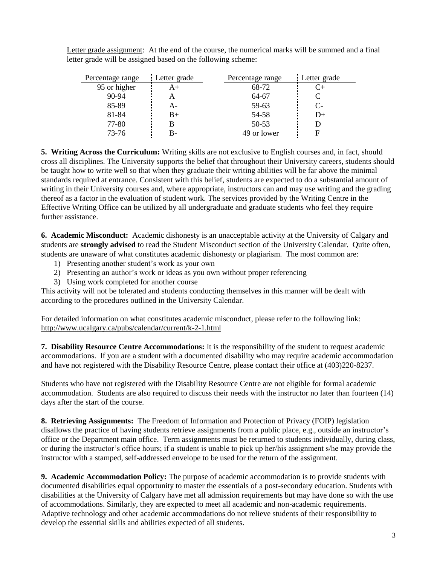Letter grade assignment: At the end of the course, the numerical marks will be summed and a final letter grade will be assigned based on the following scheme:

| Percentage range | Letter grade | Percentage range | Letter grade |
|------------------|--------------|------------------|--------------|
| 95 or higher     |              | 68-72            | C+           |
| 90-94            |              | 64-67            | C            |
| 85-89            |              | 59-63            | $C-$         |
| 81-84            | B+           | 54-58            | $D+$         |
| 77-80            |              | 50-53            |              |
| 73-76            |              | 49 or lower      |              |

**5. Writing Across the Curriculum:** Writing skills are not exclusive to English courses and, in fact, should cross all disciplines. The University supports the belief that throughout their University careers, students should be taught how to write well so that when they graduate their writing abilities will be far above the minimal standards required at entrance. Consistent with this belief, students are expected to do a substantial amount of writing in their University courses and, where appropriate, instructors can and may use writing and the grading thereof as a factor in the evaluation of student work. The services provided by the Writing Centre in the Effective Writing Office can be utilized by all undergraduate and graduate students who feel they require further assistance.

**6. Academic Misconduct:** Academic dishonesty is an unacceptable activity at the University of Calgary and students are **strongly advised** to read the Student Misconduct section of the University Calendar. Quite often, students are unaware of what constitutes academic dishonesty or plagiarism. The most common are:

- 1) Presenting another student"s work as your own
- 2) Presenting an author"s work or ideas as you own without proper referencing
- 3) Using work completed for another course

This activity will not be tolerated and students conducting themselves in this manner will be dealt with according to the procedures outlined in the University Calendar.

For detailed information on what constitutes academic misconduct, please refer to the following link: <http://www.ucalgary.ca/pubs/calendar/current/k-2-1.html>

**7. Disability Resource Centre Accommodations:** It is the responsibility of the student to request academic accommodations. If you are a student with a documented disability who may require academic accommodation and have not registered with the Disability Resource Centre, please contact their office at (403)220-8237.

Students who have not registered with the Disability Resource Centre are not eligible for formal academic accommodation. Students are also required to discuss their needs with the instructor no later than fourteen (14) days after the start of the course.

**8. Retrieving Assignments:** The Freedom of Information and Protection of Privacy (FOIP) legislation disallows the practice of having students retrieve assignments from a public place, e.g., outside an instructor's office or the Department main office. Term assignments must be returned to students individually, during class, or during the instructor"s office hours; if a student is unable to pick up her/his assignment s/he may provide the instructor with a stamped, self-addressed envelope to be used for the return of the assignment.

**9. Academic Accommodation Policy:** The purpose of academic accommodation is to provide students with documented disabilities equal opportunity to master the essentials of a post-secondary education. Students with disabilities at the University of Calgary have met all admission requirements but may have done so with the use of accommodations. Similarly, they are expected to meet all academic and non-academic requirements. Adaptive technology and other academic accommodations do not relieve students of their responsibility to develop the essential skills and abilities expected of all students.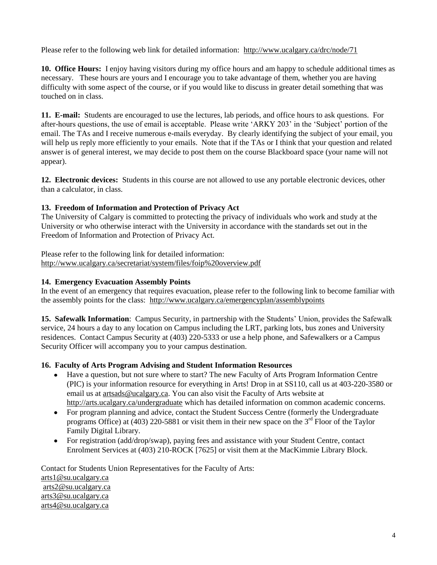Please refer to the following web link for detailed information: <http://www.ucalgary.ca/drc/node/71>

**10. Office Hours:**I enjoy having visitors during my office hours and am happy to schedule additional times as necessary. These hours are yours and I encourage you to take advantage of them, whether you are having difficulty with some aspect of the course, or if you would like to discuss in greater detail something that was touched on in class.

**11. E-mail:** Students are encouraged to use the lectures, lab periods, and office hours to ask questions. For after-hours questions, the use of email is acceptable. Please write "ARKY 203" in the "Subject" portion of the email. The TAs and I receive numerous e-mails everyday. By clearly identifying the subject of your email, you will help us reply more efficiently to your emails. Note that if the TAs or I think that your question and related answer is of general interest, we may decide to post them on the course Blackboard space (your name will not appear).

**12. Electronic devices:** Students in this course are not allowed to use any portable electronic devices, other than a calculator, in class.

## **13. Freedom of Information and Protection of Privacy Act**

The University of Calgary is committed to protecting the privacy of individuals who work and study at the University or who otherwise interact with the University in accordance with the standards set out in the Freedom of Information and Protection of Privacy Act.

Please refer to the following link for detailed information: <http://www.ucalgary.ca/secretariat/system/files/foip%20overview.pdf>

## **14. Emergency Evacuation Assembly Points**

In the event of an emergency that requires evacuation, please refer to the following link to become familiar with the assembly points for the class: <http://www.ucalgary.ca/emergencyplan/assemblypoints>

**15. Safewalk Information**: Campus Security, in partnership with the Students" Union, provides the Safewalk service, 24 hours a day to any location on Campus including the LRT, parking lots, bus zones and University residences. Contact Campus Security at (403) 220-5333 or use a help phone, and Safewalkers or a Campus Security Officer will accompany you to your campus destination.

### **16. Faculty of Arts Program Advising and Student Information Resources**

- Have a question, but not sure where to start? The new Faculty of Arts Program Information Centre (PIC) is your information resource for everything in Arts! Drop in at SS110, call us at 403-220-3580 or email us at [artsads@ucalgary.ca.](mailto:artsads@ucalgary.ca) You can also visit the Faculty of Arts website at <http://arts.ucalgary.ca/undergraduate> which has detailed information on common academic concerns.
- For program planning and advice, contact the Student Success Centre (formerly the Undergraduate programs Office) at (403) 220-5881 or visit them in their new space on the  $3<sup>rd</sup>$  Floor of the Taylor Family Digital Library.
- For registration (add/drop/swap), paying fees and assistance with your Student Centre, contact Enrolment Services at (403) 210-ROCK [7625] or visit them at the MacKimmie Library Block.

Contact for Students Union Representatives for the Faculty of Arts: [arts1@su.ucalgary.ca](mailto:arts1@su.ucalgary.ca) [arts2@su.ucalgary.ca](mailto:arts2@su.ucalgary.ca) [arts3@su.ucalgary.ca](mailto:arts3@su.ucalgary.ca) [arts4@su.ucalgary.ca](mailto:arts4@su.ucalgary.ca)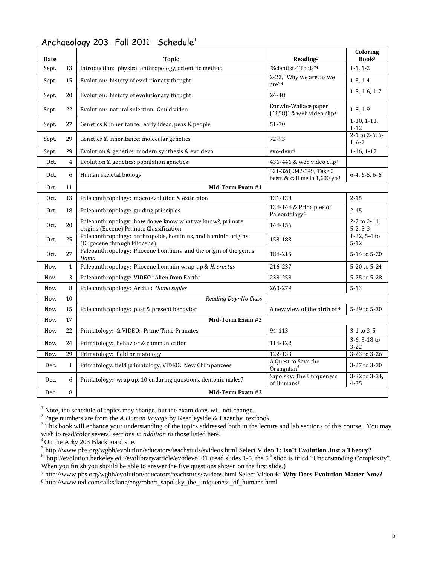| Date  |              | <b>Topic</b>                                                                                        | $\bf Reading^2$                                                       | Coloring<br>Book <sup>3</sup>  |  |  |
|-------|--------------|-----------------------------------------------------------------------------------------------------|-----------------------------------------------------------------------|--------------------------------|--|--|
| Sept. | 13           | Introduction: physical anthropology, scientific method                                              | "Scientists' Tools"4                                                  | $1-1, 1-2$                     |  |  |
| Sept. | 15           | Evolution: history of evolutionary thought                                                          | 2-22, "Why we are, as we<br>are" <sup>4</sup>                         | $1-3, 1-4$                     |  |  |
| Sept. | 20           | Evolution: history of evolutionary thought                                                          | 24-48                                                                 | $1-5, 1-6, 1-7$                |  |  |
| Sept. | 22           | Evolution: natural selection- Gould video                                                           | Darwin-Wallace paper<br>$(1858)^4$ & web video clip <sup>5</sup>      | $1-8, 1-9$                     |  |  |
| Sept. | 27           | Genetics & inheritance: early ideas, peas & people                                                  | 51-70                                                                 | $1-10, 1-11,$<br>$1 - 12$      |  |  |
| Sept. | 29           | Genetics & inheritance: molecular genetics                                                          | 72-93                                                                 | $2-1$ to $2-6, 6-$<br>$1, 6-7$ |  |  |
| Sept. | 29           | Evolution & genetics: modern synthesis & evo devo                                                   | evo-devo <sup>6</sup>                                                 | $1-16, 1-17$                   |  |  |
| Oct.  | 4            | Evolution & genetics: population genetics                                                           | 436-446 & web video clip <sup>7</sup>                                 |                                |  |  |
| Oct.  | 6            | Human skeletal biology                                                                              | 321-328, 342-349, Take 2<br>beers & call me in 1,600 yrs <sup>4</sup> | $6-4, 6-5, 6-6$                |  |  |
| Oct.  | 11           | Mid-Term Exam #1                                                                                    |                                                                       |                                |  |  |
| Oct.  | 13           | Paleoanthropology: macroevolution & extinction                                                      | 131-138                                                               | $2 - 15$                       |  |  |
| Oct.  | 18           | Paleoanthropology: guiding principles                                                               | 134-144 & Principles of<br>Paleontology <sup>4</sup>                  | $2 - 15$                       |  |  |
| Oct.  | 20           | Paleoanthropology: how do we know what we know?, primate<br>origins (Eocene) Primate Classification | 144-156                                                               | 2-7 to 2-11,<br>$5-2, 5-3$     |  |  |
| Oct.  | 25           | Paleoanthropology: anthropoids, hominins, and hominin origins<br>(Oligocene through Pliocene)       | 158-183                                                               | $1-22, 5-4$ to<br>$5 - 12$     |  |  |
| Oct.  | 27           | Paleoanthropology: Pliocene hominins and the origin of the genus<br>Homo                            | 184-215                                                               | 5-14 to 5-20                   |  |  |
| Nov.  | $\mathbf{1}$ | Paleoanthropology: Pliocene hominin wrap-up & H. erectus                                            | 216-237                                                               | 5-20 to 5-24                   |  |  |
| Nov.  | 3            | Paleoanthropology: VIDEO "Alien from Earth"                                                         | 238-258                                                               | 5-25 to 5-28                   |  |  |
| Nov.  | 8            | Paleoanthropology: Archaic Homo sapies                                                              | 260-279                                                               | $5 - 13$                       |  |  |
| Nov.  | 10           | Reading Day~No Class                                                                                |                                                                       |                                |  |  |
| Nov.  | 15           | Paleoanthropology: past & present behavior                                                          | A new view of the birth of 4                                          | 5-29 to 5-30                   |  |  |
| Nov.  | 17           | Mid-Term Exam #2                                                                                    |                                                                       |                                |  |  |
| Nov.  | 22           | Primatology: & VIDEO: Prime Time Primates                                                           | 94-113                                                                | $3-1$ to $3-5$                 |  |  |
| Nov.  | 24           | Primatology: behavior & communication                                                               | 114-122                                                               | 3-6, 3-18 to<br>$3 - 22$       |  |  |
| Nov.  | 29           | Primatology: field primatology                                                                      | 122-133                                                               | 3-23 to 3-26                   |  |  |
| Dec.  | $\mathbf{1}$ | Primatology: field primatology, VIDEO: New Chimpanzees                                              | A Quest to Save the<br>Orangutan <sup>4</sup>                         | 3-27 to 3-30                   |  |  |
| Dec.  | 6            | Primatology: wrap up, 10 enduring questions, demonic males?                                         | Sapolsky: The Uniqueness<br>of Humans <sup>8</sup>                    | 3-32 to 3-34,<br>$4 - 35$      |  |  |
| Dec.  | 8            | Mid-Term Exam #3                                                                                    |                                                                       |                                |  |  |

## Archaeology 203- Fall 2011: Schedule<sup>1</sup>

<sup>1</sup> Note, the schedule of topics may change, but the exam dates will not change.<br><sup>2</sup> Page numbers are from the *A Human Voyage* by Keenleyside & Lazenby textbook.

 $3$  This book will enhance your understanding of the topics addressed both in the lecture and lab sections of this course. You may wish to read/color several sections *in addition to* those listed here.

<sup>4</sup> On the Arky 203 Blackboard site.

<sup>5</sup><http://www.pbs.org/wgbh/evolution/educators/teachstuds/svideos.html> Select Video **1: Isn't Evolution Just a Theory?**

 $6$  [http://evolution.berkeley.edu/evolibrary/article/evodevo\\_01](http://evolution.berkeley.edu/evolibrary/article/evodevo_01) (read slides 1-5, the  $5<sup>th</sup>$  slide is titled "Understanding Complexity". When you finish you should be able to answer the five questions shown on the first slide.)

<sup>7</sup> http://www.pbs.org/wgbh/evolution/educators/teachstuds/svideos.html Select Video **6: Why Does Evolution Matter Now?**

<sup>8</sup> [http://www.ted.com/talks/lang/eng/robert\\_sapolsky\\_the\\_uniqueness\\_of\\_humans.html](http://www.ted.com/talks/lang/eng/robert_sapolsky_the_uniqueness_of_humans.html)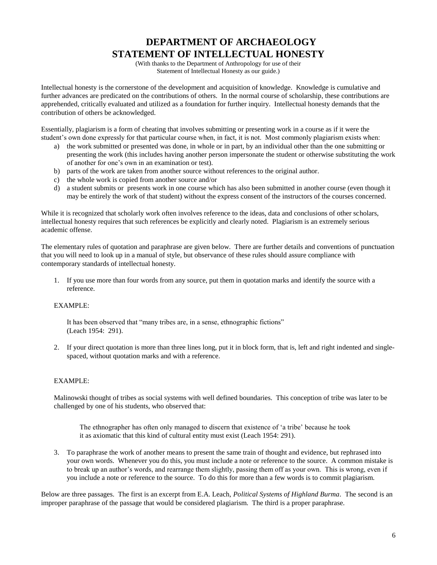# **DEPARTMENT OF ARCHAEOLOGY STATEMENT OF INTELLECTUAL HONESTY**

(With thanks to the Department of Anthropology for use of their Statement of Intellectual Honesty as our guide.)

Intellectual honesty is the cornerstone of the development and acquisition of knowledge. Knowledge is cumulative and further advances are predicated on the contributions of others. In the normal course of scholarship, these contributions are apprehended, critically evaluated and utilized as a foundation for further inquiry. Intellectual honesty demands that the contribution of others be acknowledged.

Essentially, plagiarism is a form of cheating that involves submitting or presenting work in a course as if it were the student's own done expressly for that particular course when, in fact, it is not. Most commonly plagiarism exists when:

- a) the work submitted or presented was done, in whole or in part, by an individual other than the one submitting or presenting the work (this includes having another person impersonate the student or otherwise substituting the work of another for one"s own in an examination or test).
- b) parts of the work are taken from another source without references to the original author.
- c) the whole work is copied from another source and/or
- d) a student submits or presents work in one course which has also been submitted in another course (even though it may be entirely the work of that student) without the express consent of the instructors of the courses concerned.

While it is recognized that scholarly work often involves reference to the ideas, data and conclusions of other scholars, intellectual honesty requires that such references be explicitly and clearly noted. Plagiarism is an extremely serious academic offense.

The elementary rules of quotation and paraphrase are given below. There are further details and conventions of punctuation that you will need to look up in a manual of style, but observance of these rules should assure compliance with contemporary standards of intellectual honesty.

1. If you use more than four words from any source, put them in quotation marks and identify the source with a reference.

#### EXAMPLE:

It has been observed that "many tribes are, in a sense, ethnographic fictions" (Leach 1954: 291).

2. If your direct quotation is more than three lines long, put it in block form, that is, left and right indented and singlespaced, without quotation marks and with a reference.

### EXAMPLE:

Malinowski thought of tribes as social systems with well defined boundaries. This conception of tribe was later to be challenged by one of his students, who observed that:

The ethnographer has often only managed to discern that existence of "a tribe" because he took it as axiomatic that this kind of cultural entity must exist (Leach 1954: 291).

3. To paraphrase the work of another means to present the same train of thought and evidence, but rephrased into your own words. Whenever you do this, you must include a note or reference to the source. A common mistake is to break up an author"s words, and rearrange them slightly, passing them off as your own. This is wrong, even if you include a note or reference to the source. To do this for more than a few words is to commit plagiarism.

Below are three passages. The first is an excerpt from E.A. Leach, *Political Systems of Highland Burma*. The second is an improper paraphrase of the passage that would be considered plagiarism. The third is a proper paraphrase.